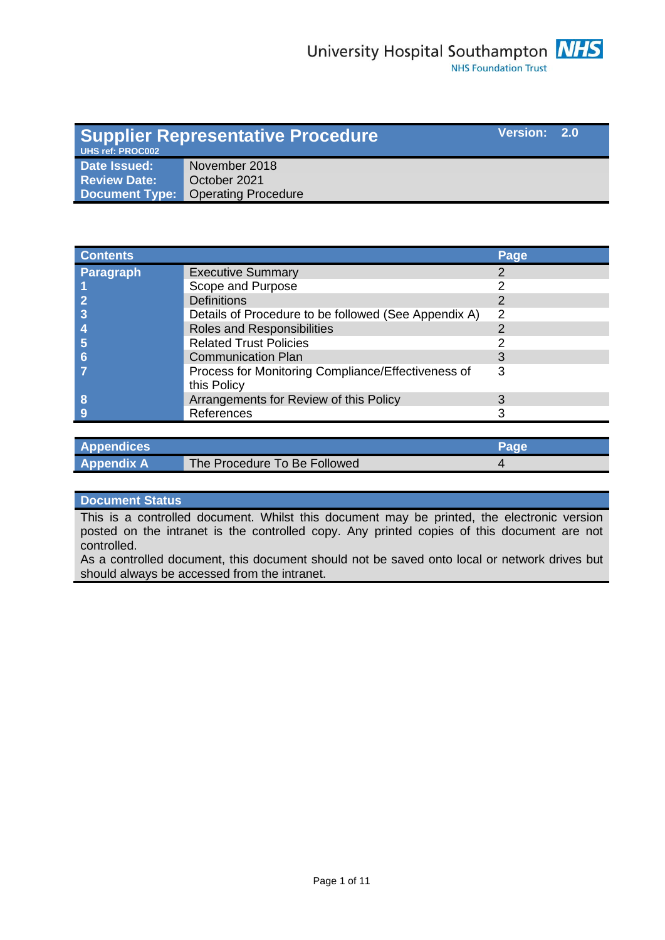| Version: 2.0<br><b>Supplier Representative Procedure</b><br><b>UHS ref: PROC002</b> |                                    |  |  |
|-------------------------------------------------------------------------------------|------------------------------------|--|--|
| Date Issued:                                                                        | November 2018                      |  |  |
| <b>Review Date:</b>                                                                 | October 2021                       |  |  |
|                                                                                     | Document Type: Operating Procedure |  |  |

| <b>Contents</b>  |                                                      | Page          |
|------------------|------------------------------------------------------|---------------|
| <b>Paragraph</b> | <b>Executive Summary</b>                             |               |
|                  | Scope and Purpose                                    |               |
|                  | <b>Definitions</b>                                   |               |
|                  | Details of Procedure to be followed (See Appendix A) | $\mathcal{P}$ |
|                  | Roles and Responsibilities                           |               |
|                  | <b>Related Trust Policies</b>                        |               |
|                  | <b>Communication Plan</b>                            |               |
|                  | Process for Monitoring Compliance/Effectiveness of   | 3             |
|                  | this Policy                                          |               |
| 8                | Arrangements for Review of this Policy               |               |
|                  | References                                           |               |

| <b>Appendices</b> |                              |  |
|-------------------|------------------------------|--|
| <b>Appendix A</b> | The Procedure To Be Followed |  |

#### **Document Status**

This is a controlled document. Whilst this document may be printed, the electronic version posted on the intranet is the controlled copy. Any printed copies of this document are not controlled.

As a controlled document, this document should not be saved onto local or network drives but should always be accessed from the intranet.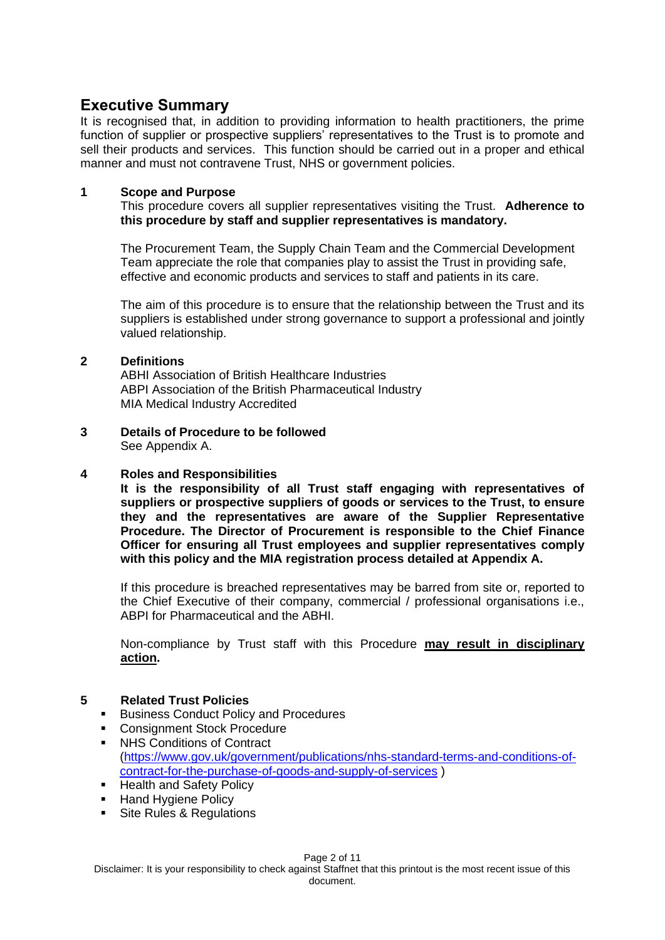# **Executive Summary**

It is recognised that, in addition to providing information to health practitioners, the prime function of supplier or prospective suppliers' representatives to the Trust is to promote and sell their products and services. This function should be carried out in a proper and ethical manner and must not contravene Trust, NHS or government policies.

#### **1 Scope and Purpose**

This procedure covers all supplier representatives visiting the Trust. **Adherence to this procedure by staff and supplier representatives is mandatory.** 

The Procurement Team, the Supply Chain Team and the Commercial Development Team appreciate the role that companies play to assist the Trust in providing safe, effective and economic products and services to staff and patients in its care.

The aim of this procedure is to ensure that the relationship between the Trust and its suppliers is established under strong governance to support a professional and jointly valued relationship.

#### **2 Definitions**

ABHI Association of British Healthcare Industries ABPI Association of the British Pharmaceutical Industry MIA Medical Industry Accredited

**3 Details of Procedure to be followed** 

See Appendix A.

#### **4 Roles and Responsibilities**

**It is the responsibility of all Trust staff engaging with representatives of suppliers or prospective suppliers of goods or services to the Trust, to ensure they and the representatives are aware of the Supplier Representative Procedure. The Director of Procurement is responsible to the Chief Finance Officer for ensuring all Trust employees and supplier representatives comply with this policy and the MIA registration process detailed at Appendix A.**

If this procedure is breached representatives may be barred from site or, reported to the Chief Executive of their company, commercial / professional organisations i.e., ABPI for Pharmaceutical and the ABHI.

Non-compliance by Trust staff with this Procedure **may result in disciplinary action.**

## **5 Related Trust Policies**

- Business Conduct Policy and Procedures
- Consignment Stock Procedure ■ NHS Conditions of Contract [\(https://www.gov.uk/government/publications/nhs-standard-terms-and-conditions-of](https://www.gov.uk/government/publications/nhs-standard-terms-and-conditions-of-contract-for-the-purchase-of-goods-and-supply-of-services)[contract-for-the-purchase-of-goods-and-supply-of-services](https://www.gov.uk/government/publications/nhs-standard-terms-and-conditions-of-contract-for-the-purchase-of-goods-and-supply-of-services) )
- **E** Health and Safety Policy
- **E** Hand Hygiene Policy
- **EXECUTE:** Site Rules & Regulations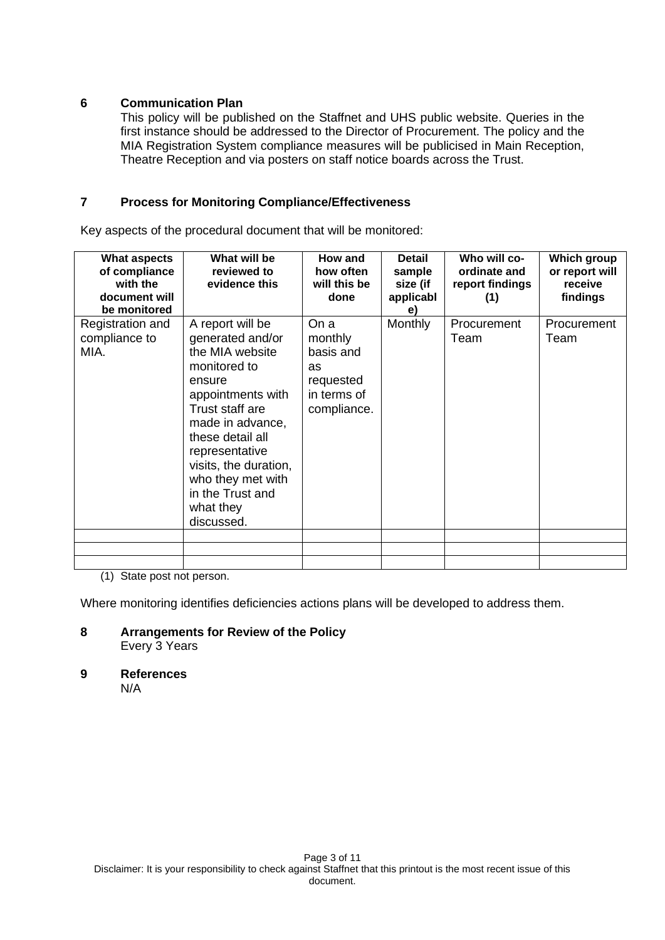#### **6 Communication Plan**

This policy will be published on the Staffnet and UHS public website. Queries in the first instance should be addressed to the Director of Procurement. The policy and the MIA Registration System compliance measures will be publicised in Main Reception, Theatre Reception and via posters on staff notice boards across the Trust.

#### **7 Process for Monitoring Compliance/Effectiveness**

Key aspects of the procedural document that will be monitored:

| <b>What aspects</b><br>of compliance<br>with the<br>document will<br>be monitored | What will be<br>reviewed to<br>evidence this                                                                                                                                                                                                                                     | How and<br>how often<br>will this be<br>done                                  | <b>Detail</b><br>sample<br>size (if<br>applicabl<br>e) | Who will co-<br>ordinate and<br>report findings<br>(1) | <b>Which group</b><br>or report will<br>receive<br>findings |
|-----------------------------------------------------------------------------------|----------------------------------------------------------------------------------------------------------------------------------------------------------------------------------------------------------------------------------------------------------------------------------|-------------------------------------------------------------------------------|--------------------------------------------------------|--------------------------------------------------------|-------------------------------------------------------------|
| Registration and<br>compliance to<br>MIA.                                         | A report will be<br>generated and/or<br>the MIA website<br>monitored to<br>ensure<br>appointments with<br>Trust staff are<br>made in advance,<br>these detail all<br>representative<br>visits, the duration,<br>who they met with<br>in the Trust and<br>what they<br>discussed. | On a<br>monthly<br>basis and<br>as<br>requested<br>in terms of<br>compliance. | Monthly                                                | Procurement<br>Team                                    | Procurement<br>Team                                         |
|                                                                                   |                                                                                                                                                                                                                                                                                  |                                                                               |                                                        |                                                        |                                                             |
|                                                                                   |                                                                                                                                                                                                                                                                                  |                                                                               |                                                        |                                                        |                                                             |

(1) State post not person.

Where monitoring identifies deficiencies actions plans will be developed to address them.

**8 Arrangements for Review of the Policy** Every 3 Years

**9 References** N/A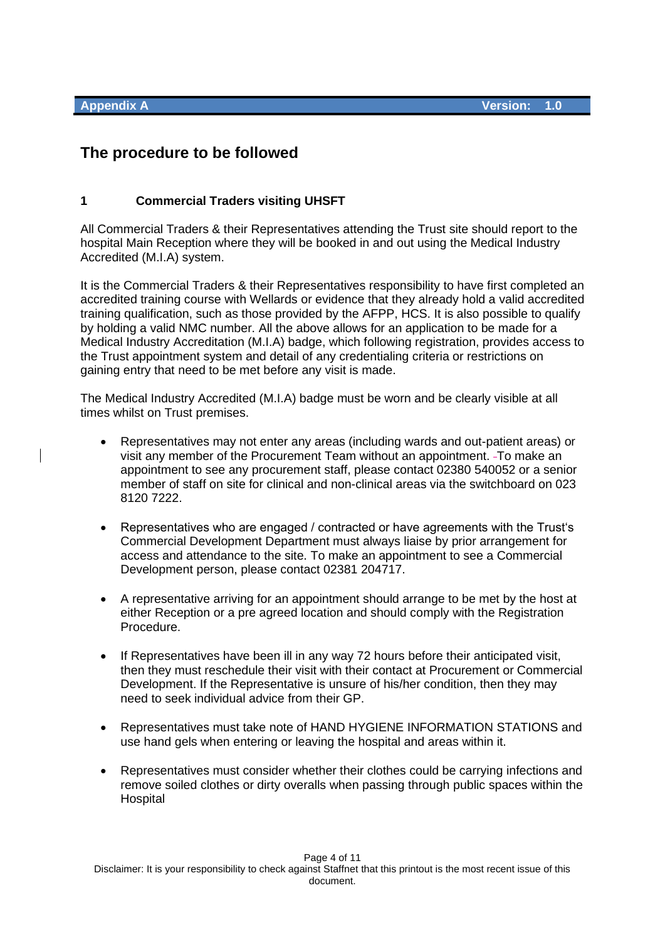# **The procedure to be followed**

#### **1 Commercial Traders visiting UHSFT**

All Commercial Traders & their Representatives attending the Trust site should report to the hospital Main Reception where they will be booked in and out using the Medical Industry Accredited (M.I.A) system.

It is the Commercial Traders & their Representatives responsibility to have first completed an accredited training course with Wellards or evidence that they already hold a valid accredited training qualification, such as those provided by the AFPP, HCS. It is also possible to qualify by holding a valid NMC number. All the above allows for an application to be made for a Medical Industry Accreditation (M.I.A) badge, which following registration, provides access to the Trust appointment system and detail of any credentialing criteria or restrictions on gaining entry that need to be met before any visit is made.

The Medical Industry Accredited (M.I.A) badge must be worn and be clearly visible at all times whilst on Trust premises.

- Representatives may not enter any areas (including wards and out-patient areas) or visit any member of the Procurement Team without an appointment. To make an appointment to see any procurement staff, please contact 02380 540052 or a senior member of staff on site for clinical and non-clinical areas via the switchboard on 023 8120 7222.
- Representatives who are engaged / contracted or have agreements with the Trust's Commercial Development Department must always liaise by prior arrangement for access and attendance to the site. To make an appointment to see a Commercial Development person, please contact 02381 204717.
- A representative arriving for an appointment should arrange to be met by the host at either Reception or a pre agreed location and should comply with the Registration Procedure.
- If Representatives have been ill in any way 72 hours before their anticipated visit, then they must reschedule their visit with their contact at Procurement or Commercial Development. If the Representative is unsure of his/her condition, then they may need to seek individual advice from their GP.
- Representatives must take note of HAND HYGIENE INFORMATION STATIONS and use hand gels when entering or leaving the hospital and areas within it.
- Representatives must consider whether their clothes could be carrying infections and remove soiled clothes or dirty overalls when passing through public spaces within the **Hospital**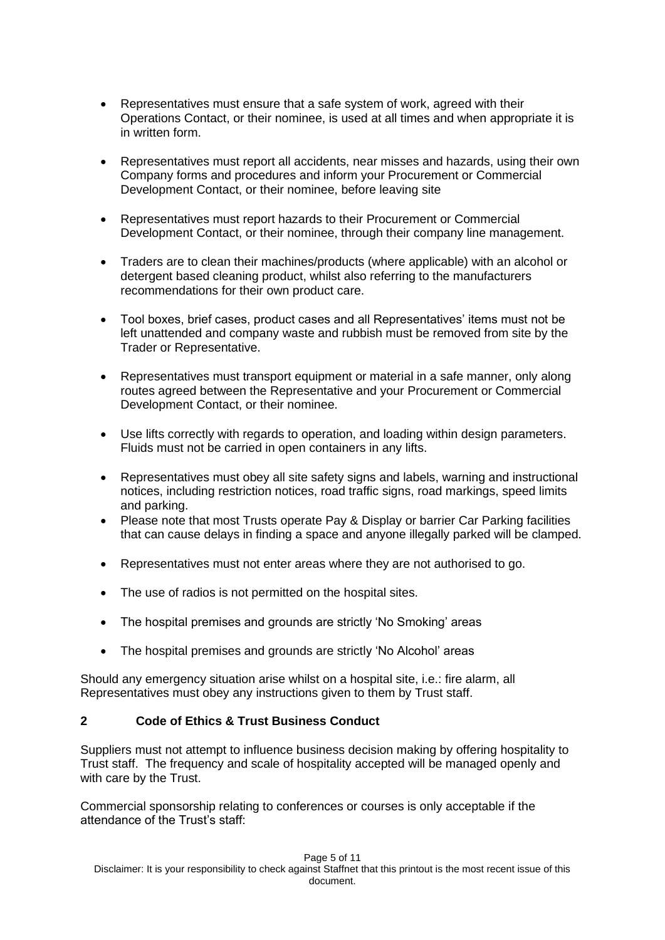- Representatives must ensure that a safe system of work, agreed with their Operations Contact, or their nominee, is used at all times and when appropriate it is in written form.
- Representatives must report all accidents, near misses and hazards, using their own Company forms and procedures and inform your Procurement or Commercial Development Contact, or their nominee, before leaving site
- Representatives must report hazards to their Procurement or Commercial Development Contact, or their nominee, through their company line management.
- Traders are to clean their machines/products (where applicable) with an alcohol or detergent based cleaning product, whilst also referring to the manufacturers recommendations for their own product care.
- Tool boxes, brief cases, product cases and all Representatives' items must not be left unattended and company waste and rubbish must be removed from site by the Trader or Representative.
- Representatives must transport equipment or material in a safe manner, only along routes agreed between the Representative and your Procurement or Commercial Development Contact, or their nominee.
- Use lifts correctly with regards to operation, and loading within design parameters. Fluids must not be carried in open containers in any lifts.
- Representatives must obey all site safety signs and labels, warning and instructional notices, including restriction notices, road traffic signs, road markings, speed limits and parking.
- Please note that most Trusts operate Pay & Display or barrier Car Parking facilities that can cause delays in finding a space and anyone illegally parked will be clamped.
- Representatives must not enter areas where they are not authorised to go.
- The use of radios is not permitted on the hospital sites.
- The hospital premises and grounds are strictly 'No Smoking' areas
- The hospital premises and grounds are strictly 'No Alcohol' areas

Should any emergency situation arise whilst on a hospital site, i.e.: fire alarm, all Representatives must obey any instructions given to them by Trust staff.

## **2 Code of Ethics & Trust Business Conduct**

Suppliers must not attempt to influence business decision making by offering hospitality to Trust staff. The frequency and scale of hospitality accepted will be managed openly and with care by the Trust.

Commercial sponsorship relating to conferences or courses is only acceptable if the attendance of the Trust's staff: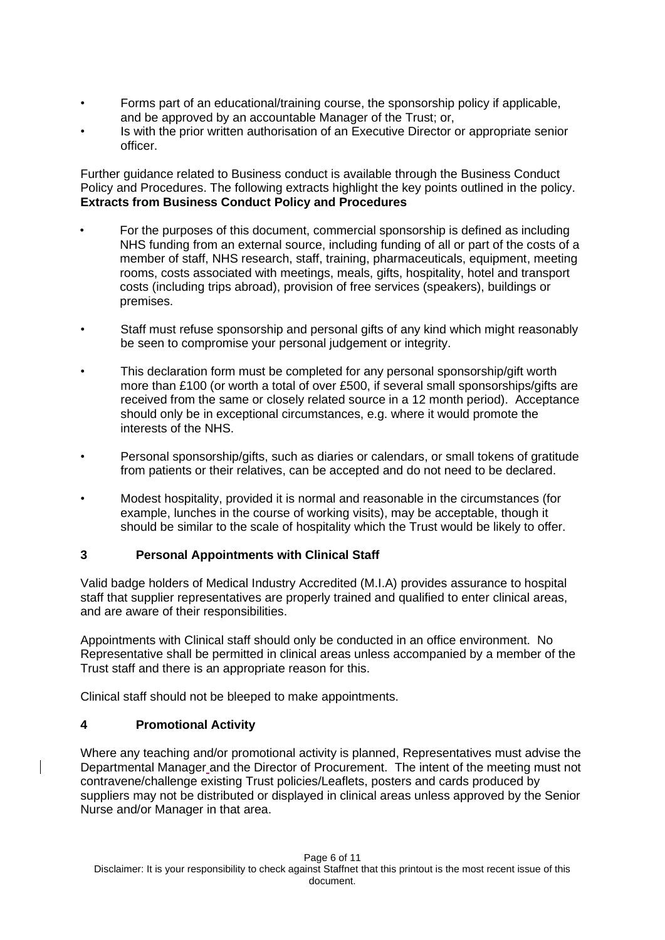- Forms part of an educational/training course, the sponsorship policy if applicable, and be approved by an accountable Manager of the Trust; or,
- Is with the prior written authorisation of an Executive Director or appropriate senior officer.

Further guidance related to Business conduct is available through the Business Conduct Policy and Procedures. The following extracts highlight the key points outlined in the policy. **Extracts from Business Conduct Policy and Procedures**

- For the purposes of this document, commercial sponsorship is defined as including NHS funding from an external source, including funding of all or part of the costs of a member of staff, NHS research, staff, training, pharmaceuticals, equipment, meeting rooms, costs associated with meetings, meals, gifts, hospitality, hotel and transport costs (including trips abroad), provision of free services (speakers), buildings or premises.
- Staff must refuse sponsorship and personal gifts of any kind which might reasonably be seen to compromise your personal judgement or integrity.
- This declaration form must be completed for any personal sponsorship/gift worth more than £100 (or worth a total of over £500, if several small sponsorships/gifts are received from the same or closely related source in a 12 month period). Acceptance should only be in exceptional circumstances, e.g. where it would promote the interests of the NHS.
- Personal sponsorship/gifts, such as diaries or calendars, or small tokens of gratitude from patients or their relatives, can be accepted and do not need to be declared.
- Modest hospitality, provided it is normal and reasonable in the circumstances (for example, lunches in the course of working visits), may be acceptable, though it should be similar to the scale of hospitality which the Trust would be likely to offer.

## **3 Personal Appointments with Clinical Staff**

Valid badge holders of Medical Industry Accredited (M.I.A) provides assurance to hospital staff that supplier representatives are properly trained and qualified to enter clinical areas, and are aware of their responsibilities.

Appointments with Clinical staff should only be conducted in an office environment. No Representative shall be permitted in clinical areas unless accompanied by a member of the Trust staff and there is an appropriate reason for this.

Clinical staff should not be bleeped to make appointments.

#### **4 Promotional Activity**

Where any teaching and/or promotional activity is planned, Representatives must advise the Departmental Manager and the Director of Procurement. The intent of the meeting must not contravene/challenge existing Trust policies/Leaflets, posters and cards produced by suppliers may not be distributed or displayed in clinical areas unless approved by the Senior Nurse and/or Manager in that area.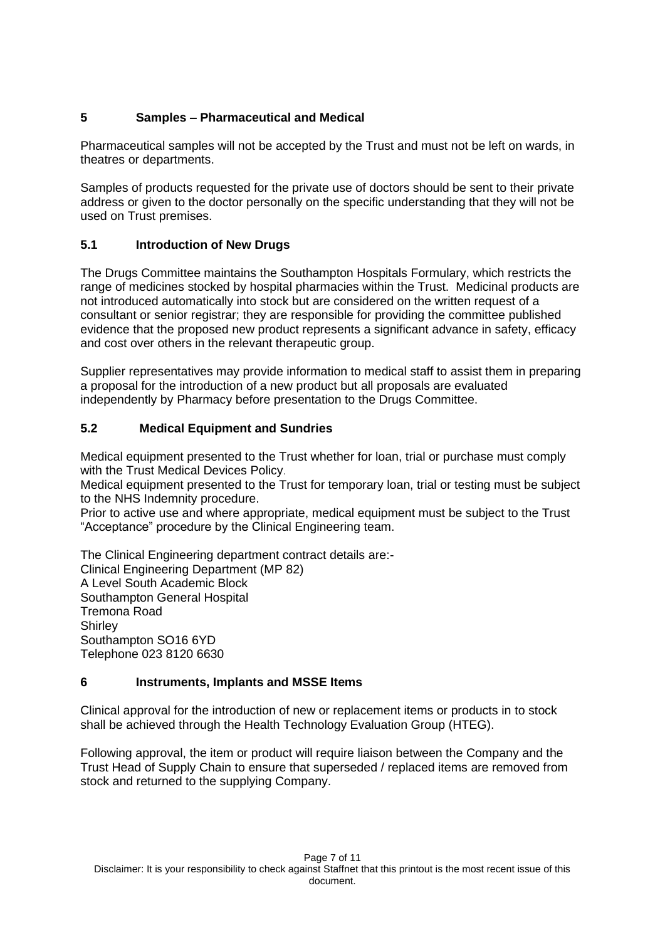# **5 Samples – Pharmaceutical and Medical**

Pharmaceutical samples will not be accepted by the Trust and must not be left on wards, in theatres or departments.

Samples of products requested for the private use of doctors should be sent to their private address or given to the doctor personally on the specific understanding that they will not be used on Trust premises.

# **5.1 Introduction of New Drugs**

The Drugs Committee maintains the Southampton Hospitals Formulary, which restricts the range of medicines stocked by hospital pharmacies within the Trust. Medicinal products are not introduced automatically into stock but are considered on the written request of a consultant or senior registrar; they are responsible for providing the committee published evidence that the proposed new product represents a significant advance in safety, efficacy and cost over others in the relevant therapeutic group.

Supplier representatives may provide information to medical staff to assist them in preparing a proposal for the introduction of a new product but all proposals are evaluated independently by Pharmacy before presentation to the Drugs Committee.

# **5.2 Medical Equipment and Sundries**

Medical equipment presented to the Trust whether for loan, trial or purchase must comply with the Trust Medical Devices Policy.

Medical equipment presented to the Trust for temporary loan, trial or testing must be subject to the NHS Indemnity procedure.

Prior to active use and where appropriate, medical equipment must be subject to the Trust "Acceptance" procedure by the Clinical Engineering team.

The Clinical Engineering department contract details are:- Clinical Engineering Department (MP 82) A Level South Academic Block Southampton General Hospital Tremona Road **Shirley** Southampton SO16 6YD Telephone 023 8120 6630

## **6 Instruments, Implants and MSSE Items**

Clinical approval for the introduction of new or replacement items or products in to stock shall be achieved through the Health Technology Evaluation Group (HTEG).

Following approval, the item or product will require liaison between the Company and the Trust Head of Supply Chain to ensure that superseded / replaced items are removed from stock and returned to the supplying Company.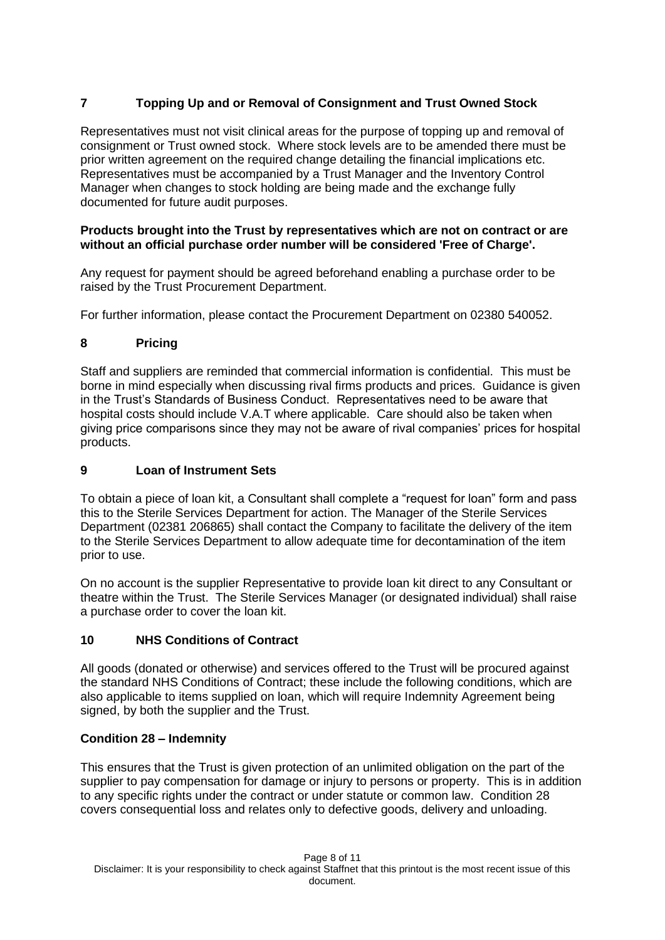# **7 Topping Up and or Removal of Consignment and Trust Owned Stock**

Representatives must not visit clinical areas for the purpose of topping up and removal of consignment or Trust owned stock. Where stock levels are to be amended there must be prior written agreement on the required change detailing the financial implications etc. Representatives must be accompanied by a Trust Manager and the Inventory Control Manager when changes to stock holding are being made and the exchange fully documented for future audit purposes.

#### **Products brought into the Trust by representatives which are not on contract or are without an official purchase order number will be considered 'Free of Charge'.**

Any request for payment should be agreed beforehand enabling a purchase order to be raised by the Trust Procurement Department.

For further information, please contact the Procurement Department on 02380 540052.

## **8 Pricing**

Staff and suppliers are reminded that commercial information is confidential. This must be borne in mind especially when discussing rival firms products and prices. Guidance is given in the Trust's Standards of Business Conduct. Representatives need to be aware that hospital costs should include V.A.T where applicable. Care should also be taken when giving price comparisons since they may not be aware of rival companies' prices for hospital products.

#### **9 Loan of Instrument Sets**

To obtain a piece of loan kit, a Consultant shall complete a "request for loan" form and pass this to the Sterile Services Department for action. The Manager of the Sterile Services Department (02381 206865) shall contact the Company to facilitate the delivery of the item to the Sterile Services Department to allow adequate time for decontamination of the item prior to use.

On no account is the supplier Representative to provide loan kit direct to any Consultant or theatre within the Trust. The Sterile Services Manager (or designated individual) shall raise a purchase order to cover the loan kit.

## **10 NHS Conditions of Contract**

All goods (donated or otherwise) and services offered to the Trust will be procured against the standard NHS Conditions of Contract; these include the following conditions, which are also applicable to items supplied on loan, which will require Indemnity Agreement being signed, by both the supplier and the Trust.

#### **Condition 28 – Indemnity**

This ensures that the Trust is given protection of an unlimited obligation on the part of the supplier to pay compensation for damage or injury to persons or property. This is in addition to any specific rights under the contract or under statute or common law. Condition 28 covers consequential loss and relates only to defective goods, delivery and unloading.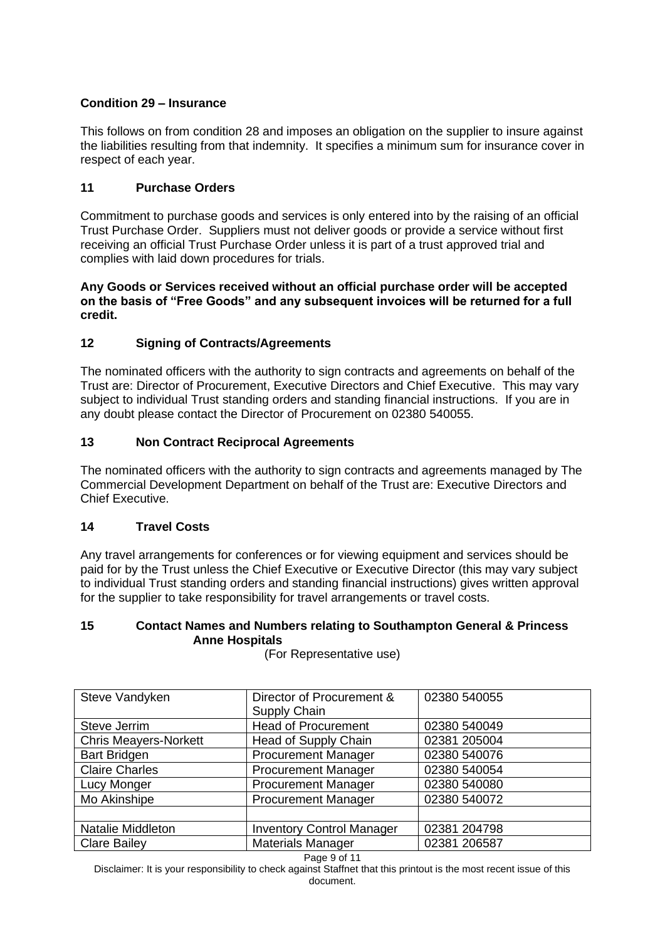# **Condition 29 – Insurance**

This follows on from condition 28 and imposes an obligation on the supplier to insure against the liabilities resulting from that indemnity. It specifies a minimum sum for insurance cover in respect of each year.

# **11 Purchase Orders**

Commitment to purchase goods and services is only entered into by the raising of an official Trust Purchase Order. Suppliers must not deliver goods or provide a service without first receiving an official Trust Purchase Order unless it is part of a trust approved trial and complies with laid down procedures for trials.

#### **Any Goods or Services received without an official purchase order will be accepted on the basis of "Free Goods" and any subsequent invoices will be returned for a full credit.**

# **12 Signing of Contracts/Agreements**

The nominated officers with the authority to sign contracts and agreements on behalf of the Trust are: Director of Procurement, Executive Directors and Chief Executive. This may vary subject to individual Trust standing orders and standing financial instructions. If you are in any doubt please contact the Director of Procurement on 02380 540055.

## **13 Non Contract Reciprocal Agreements**

The nominated officers with the authority to sign contracts and agreements managed by The Commercial Development Department on behalf of the Trust are: Executive Directors and Chief Executive.

## **14 Travel Costs**

Any travel arrangements for conferences or for viewing equipment and services should be paid for by the Trust unless the Chief Executive or Executive Director (this may vary subject to individual Trust standing orders and standing financial instructions) gives written approval for the supplier to take responsibility for travel arrangements or travel costs.

#### **15 Contact Names and Numbers relating to Southampton General & Princess Anne Hospitals**

| Steve Vandyken               | Director of Procurement &<br>Supply Chain | 02380 540055 |
|------------------------------|-------------------------------------------|--------------|
| Steve Jerrim                 | <b>Head of Procurement</b>                | 02380 540049 |
| <b>Chris Meayers-Norkett</b> | Head of Supply Chain                      | 02381 205004 |
| <b>Bart Bridgen</b>          | <b>Procurement Manager</b>                | 02380 540076 |
| <b>Claire Charles</b>        | <b>Procurement Manager</b>                | 02380 540054 |
| Lucy Monger                  | <b>Procurement Manager</b>                | 02380 540080 |
| Mo Akinshipe                 | <b>Procurement Manager</b>                | 02380 540072 |
|                              |                                           |              |
| <b>Natalie Middleton</b>     | <b>Inventory Control Manager</b>          | 02381 204798 |
| <b>Clare Bailey</b>          | <b>Materials Manager</b>                  | 02381 206587 |
| Page 9 of 11                 |                                           |              |

(For Representative use)

Disclaimer: It is your responsibility to check against Staffnet that this printout is the most recent issue of this document.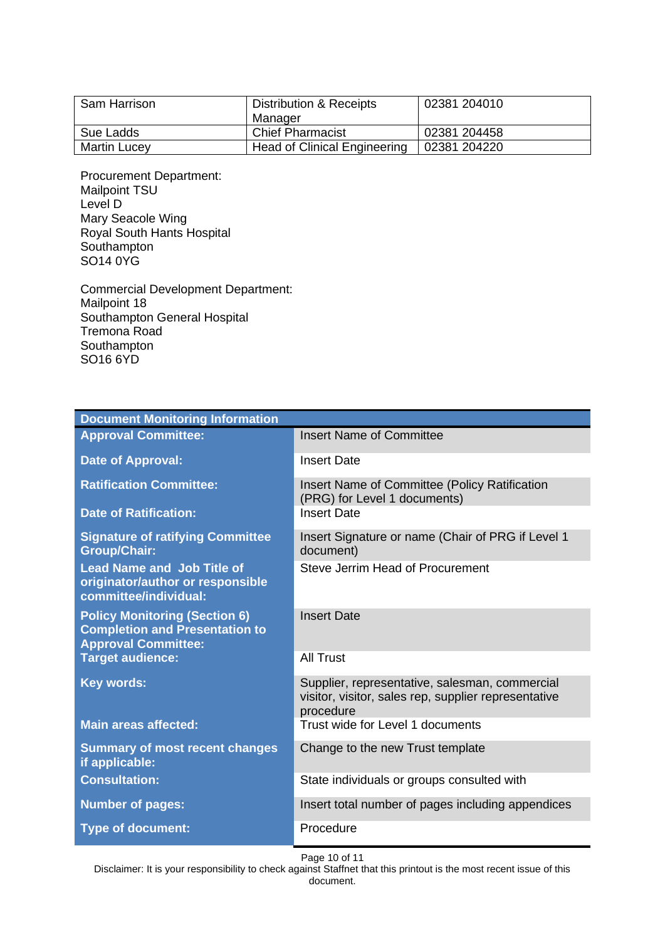| Sam Harrison        | Distribution & Receipts             | 02381 204010 |
|---------------------|-------------------------------------|--------------|
|                     | Manager                             |              |
| Sue Ladds           | <b>Chief Pharmacist</b>             | 02381 204458 |
| <b>Martin Lucey</b> | <b>Head of Clinical Engineering</b> | 02381 204220 |

Procurement Department: Mailpoint TSU Level D Mary Seacole Wing Royal South Hants Hospital **Southampton** SO14 0YG

Commercial Development Department: Mailpoint 18 Southampton General Hospital Tremona Road Southampton SO16 6YD

| <b>Document Monitoring Information</b>                                                                      |                                                                                                                     |  |
|-------------------------------------------------------------------------------------------------------------|---------------------------------------------------------------------------------------------------------------------|--|
| <b>Approval Committee:</b>                                                                                  | <b>Insert Name of Committee</b>                                                                                     |  |
| <b>Date of Approval:</b>                                                                                    | <b>Insert Date</b>                                                                                                  |  |
| <b>Ratification Committee:</b>                                                                              | <b>Insert Name of Committee (Policy Ratification</b><br>(PRG) for Level 1 documents)                                |  |
| <b>Date of Ratification:</b>                                                                                | <b>Insert Date</b>                                                                                                  |  |
| <b>Signature of ratifying Committee</b><br><b>Group/Chair:</b>                                              | Insert Signature or name (Chair of PRG if Level 1<br>document)                                                      |  |
| <b>Lead Name and Job Title of</b><br>originator/author or responsible<br>committee/individual:              | Steve Jerrim Head of Procurement                                                                                    |  |
| <b>Policy Monitoring (Section 6)</b><br><b>Completion and Presentation to</b><br><b>Approval Committee:</b> | <b>Insert Date</b>                                                                                                  |  |
| <b>Target audience:</b>                                                                                     | <b>All Trust</b>                                                                                                    |  |
| <b>Key words:</b>                                                                                           | Supplier, representative, salesman, commercial<br>visitor, visitor, sales rep, supplier representative<br>procedure |  |
| <b>Main areas affected:</b>                                                                                 | Trust wide for Level 1 documents                                                                                    |  |
| <b>Summary of most recent changes</b><br>if applicable:                                                     | Change to the new Trust template                                                                                    |  |
| <b>Consultation:</b>                                                                                        | State individuals or groups consulted with                                                                          |  |
| <b>Number of pages:</b>                                                                                     | Insert total number of pages including appendices                                                                   |  |
| <b>Type of document:</b>                                                                                    | Procedure                                                                                                           |  |

Page 10 of 11

Disclaimer: It is your responsibility to check against Staffnet that this printout is the most recent issue of this document.